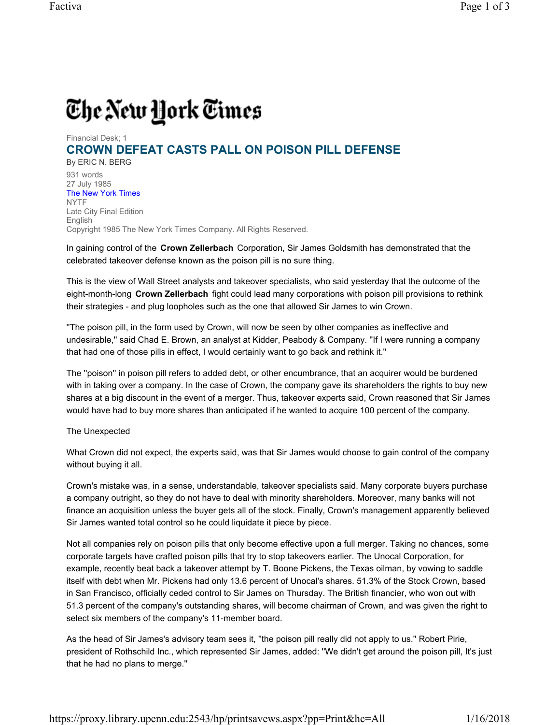# The New York Times

Financial Desk; 1

## **CROWN DEFEAT CASTS PALL ON POISON PILL DEFENSE**

By ERIC N. BERG 931 words 27 July 1985 The New York Times NYTF Late City Final Edition English Copyright 1985 The New York Times Company. All Rights Reserved.

In gaining control of the **Crown Zellerbach** Corporation, Sir James Goldsmith has demonstrated that the celebrated takeover defense known as the poison pill is no sure thing.

This is the view of Wall Street analysts and takeover specialists, who said yesterday that the outcome of the eight-month-long **Crown Zellerbach** fight could lead many corporations with poison pill provisions to rethink their strategies - and plug loopholes such as the one that allowed Sir James to win Crown.

''The poison pill, in the form used by Crown, will now be seen by other companies as ineffective and undesirable,'' said Chad E. Brown, an analyst at Kidder, Peabody & Company. ''If I were running a company that had one of those pills in effect, I would certainly want to go back and rethink it.''

The ''poison'' in poison pill refers to added debt, or other encumbrance, that an acquirer would be burdened with in taking over a company. In the case of Crown, the company gave its shareholders the rights to buy new shares at a big discount in the event of a merger. Thus, takeover experts said, Crown reasoned that Sir James would have had to buy more shares than anticipated if he wanted to acquire 100 percent of the company.

### The Unexpected

What Crown did not expect, the experts said, was that Sir James would choose to gain control of the company without buying it all.

Crown's mistake was, in a sense, understandable, takeover specialists said. Many corporate buyers purchase a company outright, so they do not have to deal with minority shareholders. Moreover, many banks will not finance an acquisition unless the buyer gets all of the stock. Finally, Crown's management apparently believed Sir James wanted total control so he could liquidate it piece by piece.

Not all companies rely on poison pills that only become effective upon a full merger. Taking no chances, some corporate targets have crafted poison pills that try to stop takeovers earlier. The Unocal Corporation, for example, recently beat back a takeover attempt by T. Boone Pickens, the Texas oilman, by vowing to saddle itself with debt when Mr. Pickens had only 13.6 percent of Unocal's shares. 51.3% of the Stock Crown, based in San Francisco, officially ceded control to Sir James on Thursday. The British financier, who won out with 51.3 percent of the company's outstanding shares, will become chairman of Crown, and was given the right to select six members of the company's 11-member board.

As the head of Sir James's advisory team sees it, ''the poison pill really did not apply to us.'' Robert Pirie, president of Rothschild Inc., which represented Sir James, added: ''We didn't get around the poison pill, It's just that he had no plans to merge.''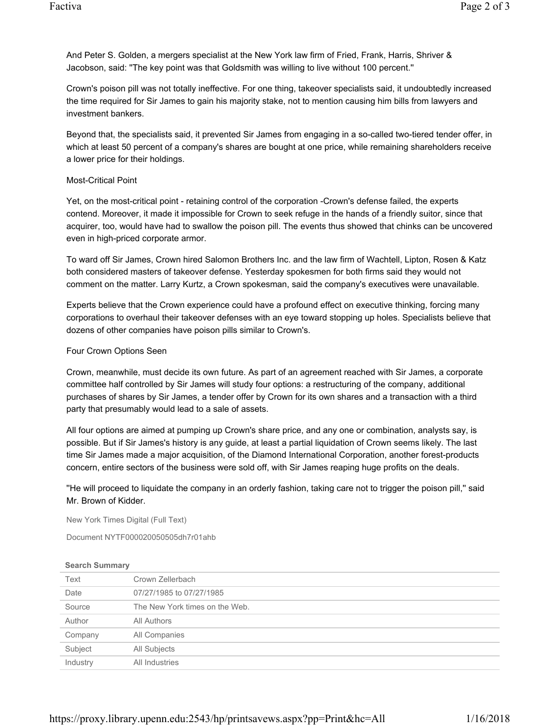And Peter S. Golden, a mergers specialist at the New York law firm of Fried, Frank, Harris, Shriver & Jacobson, said: ''The key point was that Goldsmith was willing to live without 100 percent.''

Crown's poison pill was not totally ineffective. For one thing, takeover specialists said, it undoubtedly increased the time required for Sir James to gain his majority stake, not to mention causing him bills from lawyers and investment bankers.

Beyond that, the specialists said, it prevented Sir James from engaging in a so-called two-tiered tender offer, in which at least 50 percent of a company's shares are bought at one price, while remaining shareholders receive a lower price for their holdings.

#### Most-Critical Point

Yet, on the most-critical point - retaining control of the corporation -Crown's defense failed, the experts contend. Moreover, it made it impossible for Crown to seek refuge in the hands of a friendly suitor, since that acquirer, too, would have had to swallow the poison pill. The events thus showed that chinks can be uncovered even in high-priced corporate armor.

To ward off Sir James, Crown hired Salomon Brothers Inc. and the law firm of Wachtell, Lipton, Rosen & Katz both considered masters of takeover defense. Yesterday spokesmen for both firms said they would not comment on the matter. Larry Kurtz, a Crown spokesman, said the company's executives were unavailable.

Experts believe that the Crown experience could have a profound effect on executive thinking, forcing many corporations to overhaul their takeover defenses with an eye toward stopping up holes. Specialists believe that dozens of other companies have poison pills similar to Crown's.

#### Four Crown Options Seen

Crown, meanwhile, must decide its own future. As part of an agreement reached with Sir James, a corporate committee half controlled by Sir James will study four options: a restructuring of the company, additional purchases of shares by Sir James, a tender offer by Crown for its own shares and a transaction with a third party that presumably would lead to a sale of assets.

All four options are aimed at pumping up Crown's share price, and any one or combination, analysts say, is possible. But if Sir James's history is any guide, at least a partial liquidation of Crown seems likely. The last time Sir James made a major acquisition, of the Diamond International Corporation, another forest-products concern, entire sectors of the business were sold off, with Sir James reaping huge profits on the deals.

''He will proceed to liquidate the company in an orderly fashion, taking care not to trigger the poison pill,'' said Mr. Brown of Kidder.

New York Times Digital (Full Text)

Document NYTF000020050505dh7r01ahb

| Text     | Crown Zellerbach               |
|----------|--------------------------------|
| Date     | 07/27/1985 to 07/27/1985       |
| Source   | The New York times on the Web. |
| Author   | All Authors                    |
| Company  | All Companies                  |
| Subject  | All Subjects                   |
| Industry | All Industries                 |

#### **Search Summary**